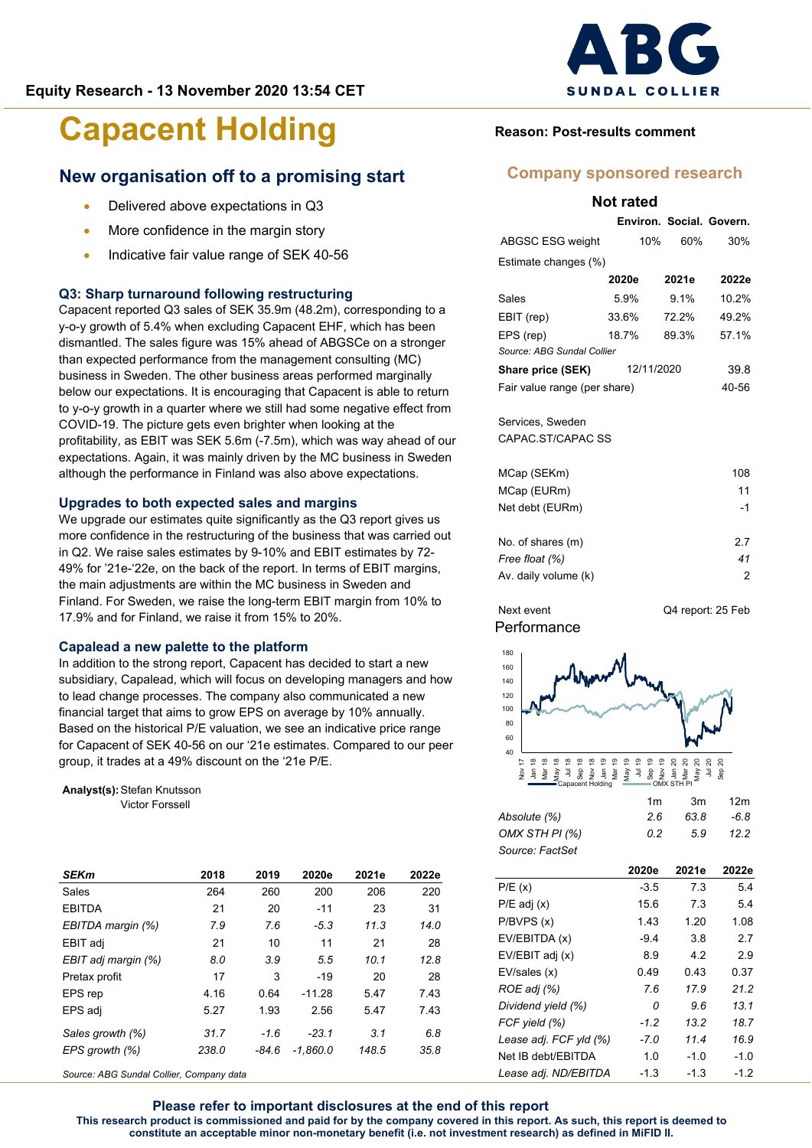# **SUNDAL COLLIER**

# **Capacent Holding**

## **New organisation off to a promising start**

- Delivered above expectations in Q3
- More confidence in the margin story
- Indicative fair value range of SEK 40-56

## **Q3: Sharp turnaround following restructuring**

Capacent reported Q3 sales of SEK 35.9m (48.2m), corresponding to a y-o-y growth of 5.4% when excluding Capacent EHF, which has been dismantled. The sales figure was 15% ahead of ABGSCe on a stronger than expected performance from the management consulting (MC) business in Sweden. The other business areas performed marginally below our expectations. It is encouraging that Capacent is able to return to y-o-y growth in a quarter where we still had some negative effect from COVID-19. The picture gets even brighter when looking at the profitability, as EBIT was SEK 5.6m (-7.5m), which was way ahead of our expectations. Again, it was mainly driven by the MC business in Sweden although the performance in Finland was also above expectations.

#### **Upgrades to both expected sales and margins**

We upgrade our estimates quite significantly as the Q3 report gives us more confidence in the restructuring of the business that was carried out in Q2. We raise sales estimates by 9-10% and EBIT estimates by 72- 49% for '21e-'22e, on the back of the report. In terms of EBIT margins, the main adjustments are within the MC business in Sweden and Finland. For Sweden, we raise the long-term EBIT margin from 10% to 17.9% and for Finland, we raise it from 15% to 20%.

### **Capalead a new palette to the platform**

In addition to the strong report, Capacent has decided to start a new subsidiary, Capalead, which will focus on developing managers and how to lead change processes. The company also communicated a new financial target that aims to grow EPS on average by 10% annually. Based on the historical P/E valuation, we see an indicative price range for Capacent of SEK 40-56 on our '21e estimates. Compared to our peer group, it trades at a 49% discount on the '21e P/E.

**Analyst(s):**Stefan Knutsson Victor Forssell

| 2018  | 2019    | 2020e      | 2021e | 2022e |
|-------|---------|------------|-------|-------|
| 264   | 260     | 200        | 206   | 220   |
| 21    | 20      | $-11$      | 23    | 31    |
| 7.9   | 7.6     | $-5.3$     | 11.3  | 14.0  |
| 21    | 10      | 11         | 21    | 28    |
| 8.0   | 3.9     | 5.5        | 10.1  | 12.8  |
| 17    | 3       | $-19$      | 20    | 28    |
| 4.16  | 0.64    | $-11.28$   | 5.47  | 7.43  |
| 5.27  | 1.93    | 2.56       | 5.47  | 7.43  |
| 31.7  | $-1.6$  | $-23.1$    | 3.1   | 6.8   |
| 238.0 | $-84.6$ | $-1.860.0$ | 148.5 | 35.8  |
|       |         |            |       |       |

*Source: ABG Sundal Collier, Company data*

## **Reason: Post-results comment**

## **Company sponsored research**

**Not rated**

|                                     | Environ, Social, Govern. |         |       |  |  |  |  |  |  |  |
|-------------------------------------|--------------------------|---------|-------|--|--|--|--|--|--|--|
| ABGSC ESG weight                    | 10%                      | 60%     | 30%   |  |  |  |  |  |  |  |
| Estimate changes (%)                |                          |         |       |  |  |  |  |  |  |  |
|                                     | 2020e                    | 2021e   | 2022e |  |  |  |  |  |  |  |
| Sales                               | 5.9%                     | $9.1\%$ | 10.2% |  |  |  |  |  |  |  |
| EBIT (rep)                          | 33.6%                    | 72.2%   | 49.2% |  |  |  |  |  |  |  |
| EPS (rep)                           | 18.7%                    | 89.3%   | 57.1% |  |  |  |  |  |  |  |
| Source: ABG Sundal Collier          |                          |         |       |  |  |  |  |  |  |  |
| <b>Share price (SEK)</b> 12/11/2020 |                          | 39.8    |       |  |  |  |  |  |  |  |
| Fair value range (per share)        |                          |         | 40-56 |  |  |  |  |  |  |  |
|                                     |                          |         |       |  |  |  |  |  |  |  |
| Services, Sweden                    |                          |         |       |  |  |  |  |  |  |  |
| CAPAC ST/CAPAC SS                   |                          |         |       |  |  |  |  |  |  |  |
|                                     |                          |         |       |  |  |  |  |  |  |  |
| MCap (SEKm)                         |                          |         | 108   |  |  |  |  |  |  |  |
| MCap (EURm)                         |                          |         | 11    |  |  |  |  |  |  |  |
| Net debt (EURm)                     |                          |         | -1    |  |  |  |  |  |  |  |
|                                     |                          |         |       |  |  |  |  |  |  |  |

| No. of shares (m)    | 27 |
|----------------------|----|
| Free float (%)       | 41 |
| Av. daily volume (k) |    |
|                      |    |

Next event Q4 report: 25 Feb







|                 | 1m | .3m | 12 <sub>m</sub> |
|-----------------|----|-----|-----------------|
| Absolute (%)    | 26 | 638 | $-6.8$          |
| OMX STH PI (%)  | 02 | 59  | 12.2            |
| Source: FactSet |    |     |                 |

|                        | 2020e  | 2021e  | 2022e  |
|------------------------|--------|--------|--------|
| P/E(x)                 | $-3.5$ | 7.3    | 5.4    |
| $P/E$ adj $(x)$        | 15.6   | 7.3    | 5.4    |
| P/BVPS(x)              | 1.43   | 1.20   | 1.08   |
| EV/EBITDA (x)          | $-9.4$ | 3.8    | 2.7    |
| EV/EBIT adj (x)        | 8.9    | 4.2    | 2.9    |
| EV/sales (x)           | 0.49   | 0.43   | 0.37   |
| ROE adj (%)            | 7.6    | 17.9   | 21.2   |
| Dividend yield (%)     | 0      | 9.6    | 13.1   |
| FCF yield (%)          | $-1.2$ | 13.2   | 18.7   |
| Lease adj. FCF yld (%) | $-7.0$ | 11.4   | 16.9   |
| Net IB debt/EBITDA     | 1.0    | $-1.0$ | $-1.0$ |
| Lease adj. ND/EBITDA   | $-1.3$ | $-1.3$ | $-1.2$ |

**Please refer to important disclosures at the end of this report This research product is commissioned and paid for by the company covered in this report. As such, this report is deemed to constitute an acceptable minor non-monetary benefit (i.e. not investment research) as defined in MiFID II.**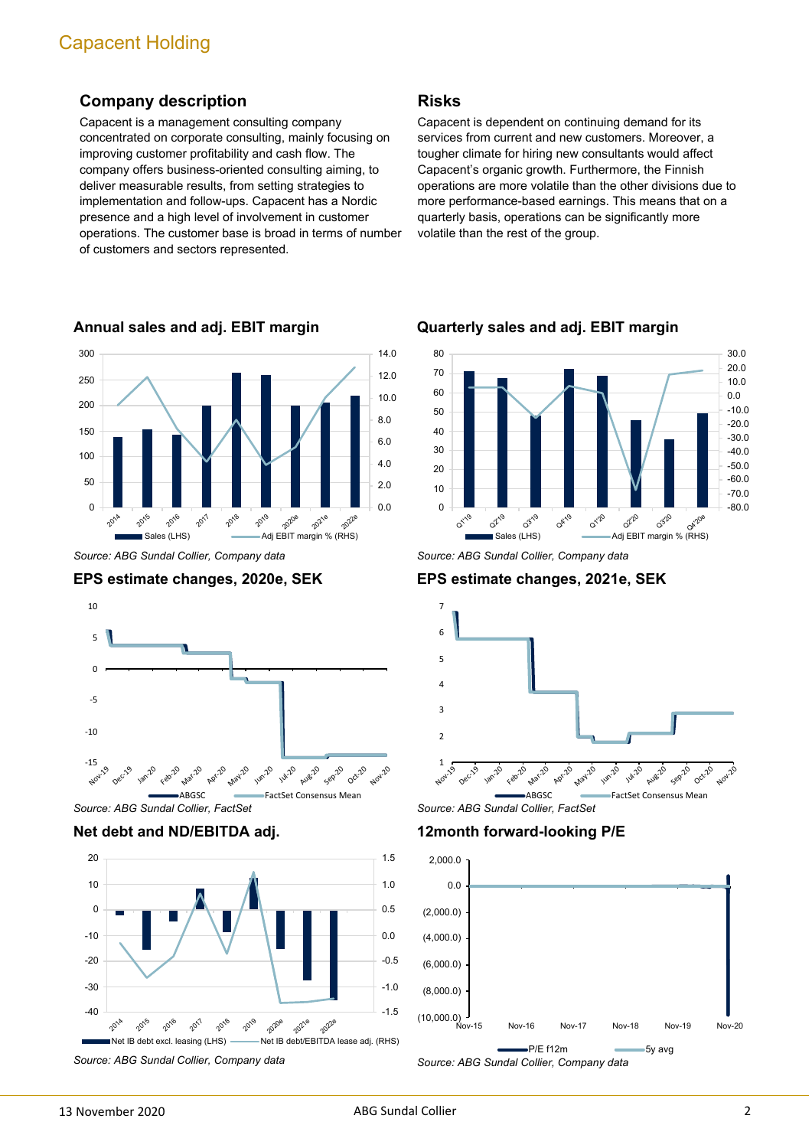## **Company description**

Capacent is a management consulting company concentrated on corporate consulting, mainly focusing on improving customer profitability and cash flow. The company offers business-oriented consulting aiming, to deliver measurable results, from setting strategies to implementation and follow-ups. Capacent has a Nordic presence and a high level of involvement in customer operations. The customer base is broad in terms of number of customers and sectors represented.



**Annual sales and adj. EBIT margin**

*Source: ABG Sundal Collier, Company data*





*Source: ABG Sundal Collier, FactSet*

## **Net debt and ND/EBITDA adj.**



*Source: ABG Sundal Collier, Company data*

## **Risks**

Capacent is dependent on continuing demand for its services from current and new customers. Moreover, a tougher climate for hiring new consultants would affect Capacent's organic growth. Furthermore, the Finnish operations are more volatile than the other divisions due to more performance-based earnings. This means that on a quarterly basis, operations can be significantly more volatile than the rest of the group.



**Quarterly sales and adj. EBIT margin**

*Source: ABG Sundal Collier, Company data*

## **EPS estimate changes, 2021e, SEK**



*Source: ABG Sundal Collier, FactSet*

**12month forward-looking P/E**

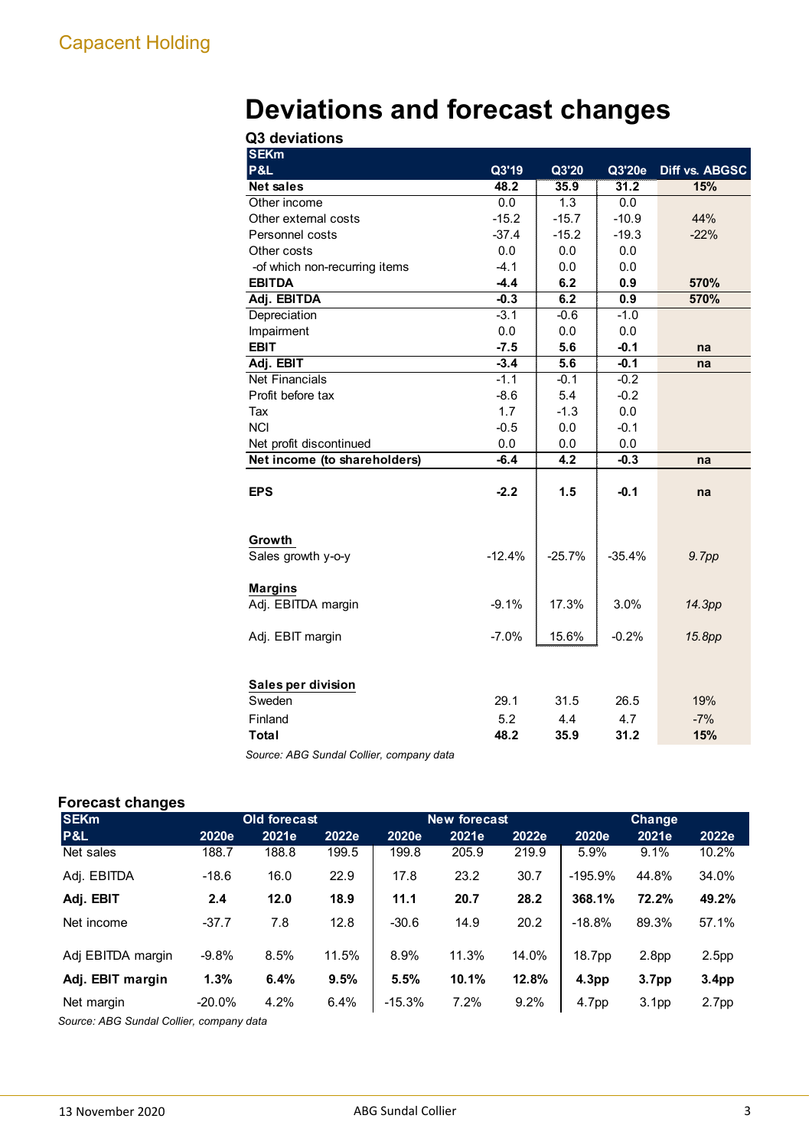# **Deviations and forecast changes**

| Q3 deviations                 |          |          |          |                |
|-------------------------------|----------|----------|----------|----------------|
| <b>SEKm</b>                   |          |          |          |                |
| P&L                           | Q3'19    | Q3'20    | Q3'20e   | Diff vs. ABGSC |
| <b>Net sales</b>              | 48.2     | 35.9     | 31.2     | 15%            |
| Other income                  | 0.0      | 1.3      | 0.0      |                |
| Other external costs          | $-15.2$  | $-15.7$  | $-10.9$  | 44%            |
| Personnel costs               | $-37.4$  | $-15.2$  | $-19.3$  | $-22%$         |
| Other costs                   | 0.0      | 0.0      | 0.0      |                |
| -of which non-recurring items | $-4.1$   | 0.0      | 0.0      |                |
| <b>EBITDA</b>                 | $-4.4$   | 6.2      | 0.9      | 570%           |
| Adj. EBITDA                   | $-0.3$   | 6.2      | 0.9      | 570%           |
| Depreciation                  | $-3.1$   | $-0.6$   | $-1.0$   |                |
| Impairment                    | 0.0      | 0.0      | 0.0      |                |
| <b>EBIT</b>                   | $-7.5$   | 5.6      | $-0.1$   | na             |
| Adj. EBIT                     | $-3.4$   | 5.6      | $-0.1$   | na             |
| <b>Net Financials</b>         | $-1.1$   | $-0.1$   | $-0.2$   |                |
| Profit before tax             | $-8.6$   | 5.4      | $-0.2$   |                |
| Tax                           | 1.7      | $-1.3$   | 0.0      |                |
| <b>NCI</b>                    | $-0.5$   | 0.0      | $-0.1$   |                |
| Net profit discontinued       | 0.0      | 0.0      | 0.0      |                |
| Net income (to shareholders)  | $-6.4$   | 4.2      | $-0.3$   | na             |
|                               |          |          |          |                |
| <b>EPS</b>                    | $-2.2$   | 1.5      | $-0.1$   | na             |
|                               |          |          |          |                |
|                               |          |          |          |                |
| Growth                        |          |          |          |                |
| Sales growth y-o-y            | $-12.4%$ | $-25.7%$ | $-35.4%$ | 9.7pp          |
|                               |          |          |          |                |
| <b>Margins</b>                |          |          |          |                |
| Adj. EBITDA margin            | $-9.1%$  | 17.3%    | 3.0%     | 14.3pp         |
|                               |          |          |          |                |
| Adj. EBIT margin              | $-7.0%$  | 15.6%    | $-0.2%$  | 15.8pp         |
|                               |          |          |          |                |
|                               |          |          |          |                |
| Sales per division            |          |          |          |                |
| Sweden                        | 29.1     | 31.5     | 26.5     | 19%            |
| Finland                       | 5.2      | 4.4      | 4.7      | $-7%$          |
| <b>Total</b>                  | 48.2     | 35.9     | 31.2     | 15%            |
|                               |          |          |          |                |

*Source: ABG Sundal Collier, company data*

## **Forecast changes**

| -<br><b>SEKm</b>  |           | <b>Old forecast</b> |       |          | <b>New forecast</b> |       | Change    |                   |                   |  |
|-------------------|-----------|---------------------|-------|----------|---------------------|-------|-----------|-------------------|-------------------|--|
| P&L               | 2020e     | 2021e               | 2022e | 2020e    | 2021e               | 2022e | 2020e     | 2021e             | 2022e             |  |
| Net sales         | 188.7     | 188.8               | 199.5 | 199.8    | 205.9               | 219.9 | 5.9%      | 9.1%              | 10.2%             |  |
| Adj. EBITDA       | $-18.6$   | 16.0                | 22.9  | 17.8     | 23.2                | 30.7  | $-195.9%$ | 44.8%             | 34.0%             |  |
| Adj. EBIT         | 2.4       | 12.0                | 18.9  | 11.1     | 20.7                | 28.2  | 368.1%    | 72.2%             | 49.2%             |  |
| Net income        | $-37.7$   | 7.8                 | 12.8  | $-30.6$  | 14.9                | 20.2  | $-18.8%$  | 89.3%             | 57.1%             |  |
| Adj EBITDA margin | $-9.8%$   | 8.5%                | 11.5% | 8.9%     | 11.3%               | 14.0% | 18.7pp    | 2.8 <sub>pp</sub> | 2.5 <sub>pp</sub> |  |
| Adj. EBIT margin  | 1.3%      | 6.4%                | 9.5%  | 5.5%     | 10.1%               | 12.8% | 4.3pp     | 3.7 <sub>pp</sub> | 3.4 <sub>pp</sub> |  |
| Net margin        | $-20.0\%$ | 4.2%                | 6.4%  | $-15.3%$ | 7.2%                | 9.2%  | 4.7pp     | 3.1 <sub>pp</sub> | 2.7 <sub>pp</sub> |  |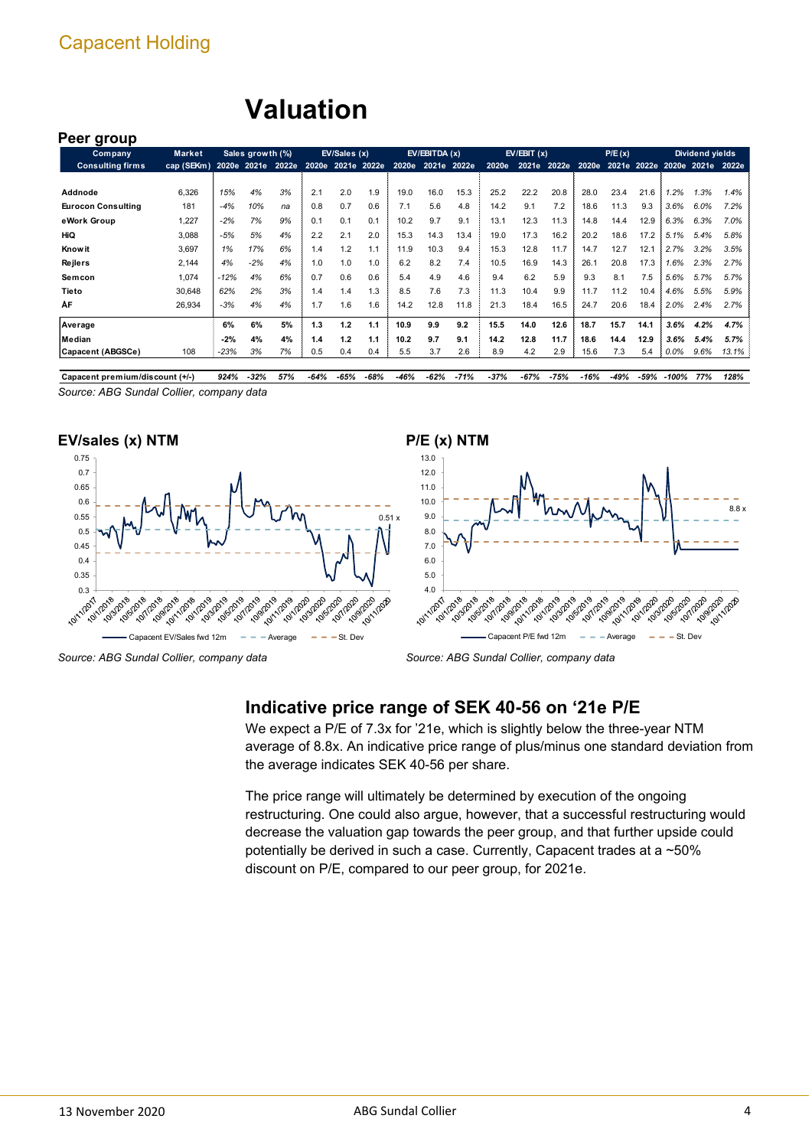## **Valuation**

#### **Peer group**

| <b>Company</b>                  | Market                       |        | Sales growth (%) |     |                   | EV/Sales (x) |      |      | EV/EBITDA (x)     |        |        | EV/EBIT(x) |        |       | P/E(x) |      |                               | Dividend yields |       |
|---------------------------------|------------------------------|--------|------------------|-----|-------------------|--------------|------|------|-------------------|--------|--------|------------|--------|-------|--------|------|-------------------------------|-----------------|-------|
| <b>Consulting firms</b>         | cap (SEKm) 2020e 2021e 2022e |        |                  |     | 2020e 2021e 2022e |              |      |      | 2020e 2021e 2022e |        | 2020e  | 2021e      | 2022e  | 2020e |        |      | 2021e 2022e 2020e 2021e 2022e |                 |       |
|                                 |                              |        |                  |     |                   |              |      |      |                   |        |        |            |        |       |        |      |                               |                 |       |
| Addnode                         | 6,326                        | 15%    | 4%               | 3%  | 2.1               | 2.0          | 1.9  | 19.0 | 16.0              | 15.3   | 25.2   | 22.2       | 20.8   | 28.0  | 23.4   | 21.6 | .2%                           | 1.3%            | 1.4%  |
| <b>Eurocon Consulting</b>       | 181                          | $-4%$  | 10%              | na  | 0.8               | 0.7          | 0.6  | 7.1  | 5.6               | 4.8    | 14.2   | 9.1        | 7.2    | 18.6  | 11.3   | 9.3  | 3.6%                          | 6.0%            | 7.2%  |
| eWork Group                     | 1,227                        | $-2%$  | 7%               | 9%  | 0.1               | 0.1          | 0.1  | 10.2 | 9.7               | 9.1    | 13.1   | 12.3       | 11.3   | 14.8  | 14.4   | 12.9 | 6.3%                          | 6.3%            | 7.0%  |
| HiQ                             | 3,088                        | $-5%$  | 5%               | 4%  | 2.2               | 2.1          | 2.0  | 15.3 | 14.3              | 13.4   | 19.0   | 17.3       | 16.2   | 20.2  | 18.6   | 17.2 | 5.1%                          | 5.4%            | 5.8%  |
| <b>Know it</b>                  | 3,697                        | 1%     | 17%              | 6%  | 1.4               | 1.2          | 1.1  | 11.9 | 10.3              | 9.4    | 15.3   | 12.8       | 11.7   | 14.7  | 12.7   | 12.1 | 2.7%                          | 3.2%            | 3.5%  |
| Rejlers                         | 2,144                        | 4%     | $-2%$            | 4%  | 1.0               | 1.0          | 1.0  | 6.2  | 8.2               | 7.4    | 10.5   | 16.9       | 14.3   | 26.1  | 20.8   | 17.3 | 1.6%                          | 2.3%            | 2.7%  |
| Semcon                          | 1,074                        | $-12%$ | 4%               | 6%  | 0.7               | 0.6          | 0.6  | 5.4  | 4.9               | 4.6    | 9.4    | 6.2        | 5.9    | 9.3   | 8.1    | 7.5  | 5.6%                          | 5.7%            | 5.7%  |
| Tieto                           | 30,648                       | 62%    | 2%               | 3%  | 1.4               | 1.4          | 1.3  | 8.5  | 7.6               | 7.3    | 11.3   | 10.4       | 9.9    | 11.7  | 11.2   | 10.4 | 4.6%                          | 5.5%            | 5.9%  |
| ÅF                              | 26,934                       | $-3%$  | 4%               | 4%  | 1.7               | 1.6          | 1.6  | 14.2 | 12.8              | 11.8   | 21.3   | 18.4       | 16.5   | 24.7  | 20.6   | 18.4 | 2.0%                          | 2.4%            | 2.7%  |
| Average                         |                              | 6%     | 6%               | 5%  | 1.3               | 1.2          | 1.1  | 10.9 | 9.9               | 9.2    | 15.5   | 14.0       | 12.6   | 18.7  | 15.7   | 14.1 | 3.6%                          | 4.2%            | 4.7%  |
| Median                          |                              | $-2%$  | 4%               | 4%  | 1.4               | 1.2          | 1.1  | 10.2 | 9.7               | 9.1    | 14.2   | 12.8       | 11.7   | 18.6  | 14.4   | 12.9 | 3.6%                          | $5.4\%$         | 5.7%  |
| Capacent (ABGSCe)               | 108                          | -23%   | 3%               | 7%  | 0.5               | 0.4          | 0.4  | 5.5  | 3.7               | 2.6    | 8.9    | 4.2        | 2.9    | 15.6  | 7.3    | 5.4  | $0.0\%$                       | $9.6\%$         | 13.1% |
| Capacent premium/discount (+/-) |                              | 924%   | $-32%$           | 57% | -64%              | -65%         | -68% | -46% | -62%              | $-71%$ | $-37%$ | $-67%$     | $-75%$ | -16%  | -49%   |      | -59% -100%                    | 77%             | 128%  |

*Source: ABG Sundal Collier, company data*

#### **EV/sales (x) NTM**







*Source: ABG Sundal Collier, company data*

## **Indicative price range of SEK 40-56 on '21e P/E**

We expect a P/E of 7.3x for '21e, which is slightly below the three-year NTM average of 8.8x. An indicative price range of plus/minus one standard deviation from the average indicates SEK 40-56 per share.

The price range will ultimately be determined by execution of the ongoing restructuring. One could also argue, however, that a successful restructuring would decrease the valuation gap towards the peer group, and that further upside could potentially be derived in such a case. Currently, Capacent trades at a ~50% discount on P/E, compared to our peer group, for 2021e.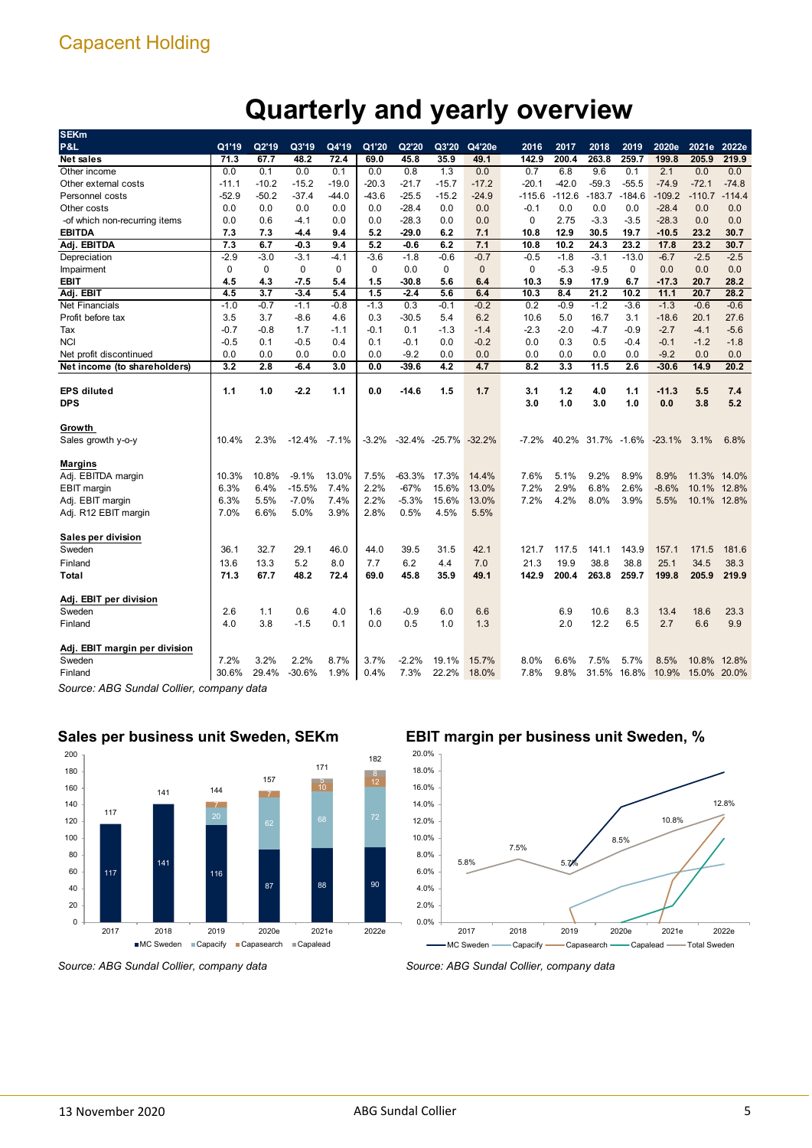## **Quarterly and yearly overview**

| <b>SEKm</b>                   |             |             |          |         |         |          |                           |                |          |          |             |          |          |             |          |
|-------------------------------|-------------|-------------|----------|---------|---------|----------|---------------------------|----------------|----------|----------|-------------|----------|----------|-------------|----------|
| P&L                           | Q1'19       | Q2'19       | Q3'19    | Q4'19   | Q1'20   | Q2'20    | Q3'20                     | Q4'20e         | 2016     | 2017     | 2018        | 2019     | 2020e    | 2021e       | 2022e    |
| <b>Net sales</b>              | 71.3        | 67.7        | 48.2     | 72.4    | 69.0    | 45.8     | 35.9                      | 49.1           | 142.9    | 200.4    | 263.8       | 259.7    | 199.8    | 205.9       | 219.9    |
| Other income                  | 0.0         | 0.1         | 0.0      | 0.1     | 0.0     | 0.8      | 1.3                       | 0.0            | 0.7      | 6.8      | 9.6         | 0.1      | 2.1      | 0.0         | 0.0      |
| Other external costs          | $-11.1$     | $-10.2$     | $-15.2$  | $-19.0$ | $-20.3$ | $-21.7$  | $-15.7$                   | $-17.2$        | $-20.1$  | $-42.0$  | $-59.3$     | $-55.5$  | $-74.9$  | $-72.1$     | $-74.8$  |
| <b>Personnel costs</b>        | $-52.9$     | $-50.2$     | $-37.4$  | $-44.0$ | $-43.6$ | $-25.5$  | $-15.2$                   | $-24.9$        | $-115.6$ | $-112.6$ | $-183.7$    | $-184.6$ | $-109.2$ | $-110.7$    | $-114.4$ |
| Other costs                   | 0.0         | 0.0         | 0.0      | 0.0     | 0.0     | $-28.4$  | 0.0                       | 0.0            | $-0.1$   | 0.0      | 0.0         | 0.0      | $-28.4$  | 0.0         | 0.0      |
| -of which non-recurring items | 0.0         | 0.6         | $-4.1$   | 0.0     | 0.0     | $-28.3$  | 0.0                       | 0.0            | 0        | 2.75     | $-3.3$      | $-3.5$   | $-28.3$  | 0.0         | 0.0      |
| <b>EBITDA</b>                 | 7.3         | 7.3         | $-4.4$   | 9.4     | 5.2     | -29.0    | 6.2                       | 7.1            | 10.8     | 12.9     | 30.5        | 19.7     | $-10.5$  | 23.2        | 30.7     |
| Adj. EBITDA                   | 7.3         | 6.7         | $-0.3$   | 9.4     | 5.2     | $-0.6$   | 6.2                       | 7.1            | 10.8     | 10.2     | 24.3        | 23.2     | 17.8     | 23.2        | 30.7     |
| Depreciation                  | $-2.9$      | $-3.0$      | $-3.1$   | $-4.1$  | $-3.6$  | $-1.8$   | $-0.6$                    | $-0.7$         | $-0.5$   | $-1.8$   | $-3.1$      | $-13.0$  | $-6.7$   | $-2.5$      | $-2.5$   |
| Impairment                    | $\mathbf 0$ | $\mathbf 0$ | 0        | 0       | 0       | 0.0      | $\mathbf 0$               | $\overline{0}$ | 0        | $-5.3$   | $-9.5$      | 0        | 0.0      | 0.0         | 0.0      |
| <b>EBIT</b>                   | 4.5         | 4.3         | $-7.5$   | 5.4     | 1.5     | $-30.8$  | 5.6                       | 6.4            | 10.3     | 5.9      | 17.9        | 6.7      | $-17.3$  | 20.7        | 28.2     |
| Adj. EBIT                     | 4.5         | 3.7         | $-3.4$   | 5.4     | 1.5     | $-2.4$   | 5.6                       | 6.4            | 10.3     | 8.4      | 21.2        | 10.2     | 11.1     | 20.7        | 28.2     |
| <b>Net Financials</b>         | $-1.0$      | $-0.7$      | $-1.1$   | $-0.8$  | $-1.3$  | 0.3      | $-0.1$                    | $-0.2$         | 0.2      | $-0.9$   | $-1.2$      | $-3.6$   | $-1.3$   | $-0.6$      | $-0.6$   |
| Profit before tax             | 3.5         | 3.7         | $-8.6$   | 4.6     | 0.3     | $-30.5$  | 5.4                       | 6.2            | 10.6     | 5.0      | 16.7        | 3.1      | $-18.6$  | 20.1        | 27.6     |
| Tax                           | $-0.7$      | $-0.8$      | 1.7      | $-1.1$  | $-0.1$  | 0.1      | $-1.3$                    | $-1.4$         | $-2.3$   | $-2.0$   | $-4.7$      | $-0.9$   | $-2.7$   | $-4.1$      | $-5.6$   |
| <b>NCI</b>                    | $-0.5$      | 0.1         | $-0.5$   | 0.4     | 0.1     | $-0.1$   | 0.0                       | $-0.2$         | 0.0      | 0.3      | 0.5         | $-0.4$   | $-0.1$   | $-1.2$      | $-1.8$   |
| Net profit discontinued       | 0.0         | 0.0         | 0.0      | 0.0     | 0.0     | $-9.2$   | 0.0                       | 0.0            | 0.0      | 0.0      | 0.0         | 0.0      | $-9.2$   | 0.0         | 0.0      |
| Net income (to shareholders)  | 3.2         | 2.8         | $-6.4$   | 3.0     | 0.0     | -39.6    | 4.2                       | 4.7            | 8.2      | 3.3      | 11.5        | 2.6      | $-30.6$  | 14.9        | 20.2     |
|                               |             |             |          |         |         |          |                           |                |          |          |             |          |          |             |          |
| <b>EPS</b> diluted            | 1.1         | 1.0         | $-2.2$   | 1.1     | 0.0     | -14.6    | 1.5                       | 1.7            | 3.1      | 1.2      | 4.0         | 1.1      | $-11.3$  | 5.5         | 7.4      |
| <b>DPS</b>                    |             |             |          |         |         |          |                           |                | 3.0      | 1.0      | 3.0         | 1.0      | 0.0      | 3.8         | 5.2      |
|                               |             |             |          |         |         |          |                           |                |          |          |             |          |          |             |          |
| Growth                        |             |             |          |         |         |          |                           |                |          |          |             |          |          |             |          |
| Sales growth y-o-y            | 10.4%       | 2.3%        | $-12.4%$ | $-7.1%$ | $-3.2%$ |          | $-32.4\% -25.7\% -32.2\%$ |                | $-7.2%$  | 40.2%    | 31.7% -1.6% |          | $-23.1%$ | 3.1%        | 6.8%     |
|                               |             |             |          |         |         |          |                           |                |          |          |             |          |          |             |          |
| <b>Margins</b>                |             |             |          |         |         |          |                           |                |          |          |             |          |          |             |          |
| Adj. EBITDA margin            | 10.3%       | 10.8%       | $-9.1%$  | 13.0%   | 7.5%    | $-63.3%$ | 17.3%                     | 14.4%          | 7.6%     | 5.1%     | 9.2%        | 8.9%     | 8.9%     | 11.3%       | 14.0%    |
| <b>EBIT</b> margin            | 6.3%        | 6.4%        | $-15.5%$ | 7.4%    | 2.2%    | $-67%$   | 15.6%                     | 13.0%          | 7.2%     | 2.9%     | 6.8%        | 2.6%     | $-8.6%$  | 10.1%       | 12.8%    |
| Adj. EBIT margin              | 6.3%        | 5.5%        | $-7.0%$  | 7.4%    | 2.2%    | $-5.3%$  | 15.6%                     | 13.0%          | 7.2%     | 4.2%     | 8.0%        | 3.9%     | 5.5%     | 10.1%       | 12.8%    |
| Adj. R12 EBIT margin          | 7.0%        | 6.6%        | 5.0%     | 3.9%    | 2.8%    | 0.5%     | 4.5%                      | 5.5%           |          |          |             |          |          |             |          |
|                               |             |             |          |         |         |          |                           |                |          |          |             |          |          |             |          |
| Sales per division            |             |             |          |         |         |          |                           |                |          |          |             |          |          |             |          |
| Sweden                        | 36.1        | 32.7        | 29.1     | 46.0    | 44.0    | 39.5     | 31.5                      | 42.1           | 121.7    | 117.5    | 141.1       | 143.9    | 157.1    | 171.5       | 181.6    |
| Finland                       | 13.6        | 13.3        | 5.2      | 8.0     | 7.7     | 6.2      | 4.4                       | 7.0            | 21.3     | 19.9     | 38.8        | 38.8     | 25.1     | 34.5        | 38.3     |
| Total                         | 71.3        | 67.7        | 48.2     | 72.4    | 69.0    | 45.8     | 35.9                      | 49.1           | 142.9    | 200.4    | 263.8       | 259.7    | 199.8    | 205.9       | 219.9    |
|                               |             |             |          |         |         |          |                           |                |          |          |             |          |          |             |          |
| Adj. EBIT per division        |             |             |          |         |         |          |                           |                |          |          |             |          |          |             |          |
| Sweden                        | 2.6         | 1.1         | 0.6      | 4.0     | 1.6     | $-0.9$   | 6.0                       | 6.6            |          | 6.9      | 10.6        | 8.3      | 13.4     | 18.6        | 23.3     |
| Finland                       | 4.0         | 3.8         | $-1.5$   | 0.1     | 0.0     | 0.5      | 1.0                       | 1.3            |          | 2.0      | 12.2        | 6.5      | 2.7      | 6.6         | 9.9      |
| Adj. EBIT margin per division |             |             |          |         |         |          |                           |                |          |          |             |          |          |             |          |
| Sweden                        | 7.2%        | 3.2%        | 2.2%     | 8.7%    | 3.7%    | $-2.2%$  | 19.1%                     | 15.7%          | 8.0%     | 6.6%     | 7.5%        | 5.7%     | 8.5%     | 10.8%       | 12.8%    |
| Finland                       | 30.6%       | 29.4%       | $-30.6%$ | 1.9%    | 0.4%    | 7.3%     | 22.2%                     | 18.0%          | 7.8%     | 9.8%     | 31.5%       | 16.8%    | 10.9%    | 15.0% 20.0% |          |
|                               |             |             |          |         |         |          |                           |                |          |          |             |          |          |             |          |

*Source: ABG Sundal Collier, company data*



## **Sales per business unit Sweden, SEKm**

## **EBIT margin per business unit Sweden, %**



*Source: ABG Sundal Collier, company data*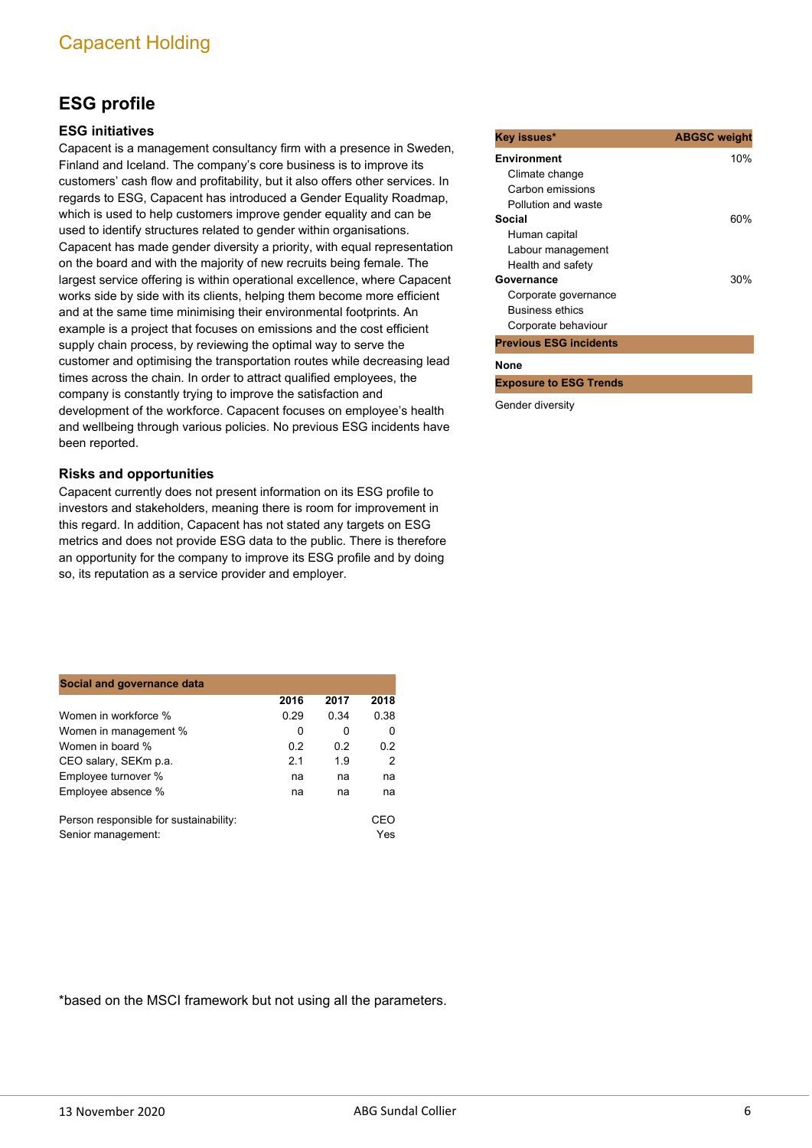## **ESG profile**

## **ESG initiatives**

Capacent is a management consultancy firm with a presence in Sweden, Finland and Iceland. The company's core business is to improve its customers' cash flow and profitability, but it also offers other services. In regards to ESG, Capacent has introduced a Gender Equality Roadmap, which is used to help customers improve gender equality and can be used to identify structures related to gender within organisations. Capacent has made gender diversity a priority, with equal representation on the board and with the majority of new recruits being female. The largest service offering is within operational excellence, where Capacent works side by side with its clients, helping them become more efficient and at the same time minimising their environmental footprints. An example is a project that focuses on emissions and the cost efficient supply chain process, by reviewing the optimal way to serve the customer and optimising the transportation routes while decreasing lead times across the chain. In order to attract qualified employees, the company is constantly trying to improve the satisfaction and development of the workforce. Capacent focuses on employee's health and wellbeing through various policies. No previous ESG incidents have been reported.

#### **Risks and opportunities**

Capacent currently does not present information on its ESG profile to investors and stakeholders, meaning there is room for improvement in this regard. In addition, Capacent has not stated any targets on ESG metrics and does not provide ESG data to the public. There is therefore an opportunity for the company to improve its ESG profile and by doing so, its reputation as a service provider and employer.

| Social and governance data             |      |      |      |  |  |  |  |  |  |  |  |  |
|----------------------------------------|------|------|------|--|--|--|--|--|--|--|--|--|
|                                        | 2016 | 2017 | 2018 |  |  |  |  |  |  |  |  |  |
| Women in workforce %                   | 0.29 | 0.34 | 0.38 |  |  |  |  |  |  |  |  |  |
| Women in management %                  | 0    | 0    | 0    |  |  |  |  |  |  |  |  |  |
| Women in board %                       | 0.2  | 0.2  | 0.2  |  |  |  |  |  |  |  |  |  |
| CEO salary, SEKm p.a.                  | 2.1  | 1.9  | 2    |  |  |  |  |  |  |  |  |  |
| Employee turnover %                    | na   | na   | na   |  |  |  |  |  |  |  |  |  |
| Employee absence %                     | na   | na   | na   |  |  |  |  |  |  |  |  |  |
| Person responsible for sustainability: |      |      | CEO  |  |  |  |  |  |  |  |  |  |
| Senior management:                     |      |      | Yes  |  |  |  |  |  |  |  |  |  |

\*based on the MSCI framework but not using all the parameters.

| Key issues*                   | <b>ABGSC</b> weight |
|-------------------------------|---------------------|
| <b>Environment</b>            | 10%                 |
| Climate change                |                     |
| Carbon emissions              |                     |
| Pollution and waste           |                     |
| Social                        | 60%                 |
| Human capital                 |                     |
| Labour management             |                     |
| Health and safety             |                     |
| Governance                    | 30%                 |
| Corporate governance          |                     |
| <b>Business ethics</b>        |                     |
| Corporate behaviour           |                     |
| <b>Previous ESG incidents</b> |                     |
| <b>None</b>                   |                     |
| <b>Exposure to ESG Trends</b> |                     |
| Gender diversity              |                     |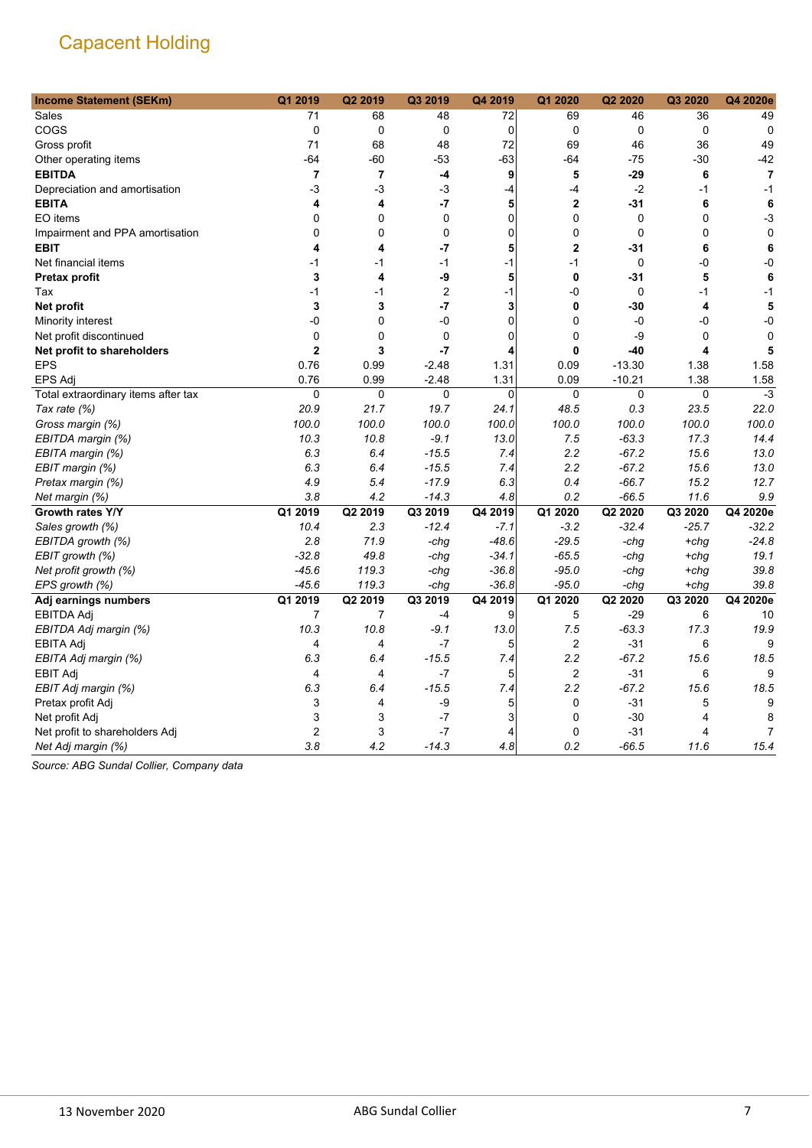| <b>Income Statement (SEKm)</b>      | Q1 2019                 | Q2 2019 | Q3 2019        | Q4 2019     | Q1 2020        | Q2 2020      | Q3 2020      | Q4 2020e       |
|-------------------------------------|-------------------------|---------|----------------|-------------|----------------|--------------|--------------|----------------|
| Sales                               | 71                      | 68      | 48             | 72          | 69             | 46           | 36           | 49             |
| COGS                                | $\pmb{0}$               | 0       | 0              | 0           | $\mathbf 0$    | $\mathbf 0$  | $\mathbf 0$  | $\mathbf 0$    |
| Gross profit                        | 71                      | 68      | 48             | 72          | 69             | 46           | 36           | 49             |
| Other operating items               | $-64$                   | $-60$   | -53            | $-63$       | $-64$          | $-75$        | $-30$        | $-42$          |
| <b>EBITDA</b>                       | $\overline{\mathbf{r}}$ | 7       | -4             | 9           | 5              | $-29$        | 6            | $\overline{7}$ |
| Depreciation and amortisation       | -3                      | -3      | -3             | $-4$        | -4             | $-2$         | $-1$         | $-1$           |
| <b>EBITA</b>                        | 4                       | 4       | $-7$           | 5           | 2              | $-31$        | 6            | 6              |
| EO items                            | $\Omega$                | 0       | $\mathbf{0}$   | $\Omega$    | 0              | $\mathbf{0}$ | $\mathbf{0}$ | $-3$           |
| Impairment and PPA amortisation     | 0                       | 0       | 0              | 0           | 0              | $\pmb{0}$    | 0            | $\mathbf 0$    |
| <b>EBIT</b>                         | 4                       | 4       | $-7$           | 5           | 2              | $-31$        | 6            | 6              |
| Net financial items                 | $-1$                    | -1      | $-1$           | $-1$        | $-1$           | $\mathbf 0$  | -0           | -0             |
| Pretax profit                       | 3                       | 4       | -9             | 5           | 0              | $-31$        | 5            | 6              |
| Tax                                 | $-1$                    | $-1$    | $\overline{c}$ | $-1$        | -0             | $\mathbf 0$  | $-1$         | $-1$           |
| Net profit                          | 3                       | 3       | $-7$           | 3           | 0              | $-30$        | 4            | 5              |
| Minority interest                   | -0                      | 0       | -0             | $\mathbf 0$ | 0              | $-0$         | -0           | $-0$           |
| Net profit discontinued             | 0                       | 0       | 0              | $\mathbf 0$ | 0              | $-9$         | $\mathbf 0$  | 0              |
| Net profit to shareholders          | $\overline{2}$          | 3       | $-7$           | 4           | 0              | $-40$        | 4            | 5              |
| <b>EPS</b>                          | 0.76                    | 0.99    | $-2.48$        | 1.31        | 0.09           | $-13.30$     | 1.38         | 1.58           |
| <b>EPS Adj</b>                      | 0.76                    | 0.99    | $-2.48$        | 1.31        | 0.09           | $-10.21$     | 1.38         | 1.58           |
| Total extraordinary items after tax | 0                       | 0       | 0              | $\mathbf 0$ | 0              | $\mathbf 0$  | $\mathbf 0$  | $-3$           |
| Tax rate (%)                        | 20.9                    | 21.7    | 19.7           | 24.1        | 48.5           | 0.3          | 23.5         | 22.0           |
| Gross margin (%)                    | 100.0                   | 100.0   | 100.0          | 100.0       | 100.0          | 100.0        | 100.0        | 100.0          |
| EBITDA margin (%)                   | 10.3                    | 10.8    | $-9.1$         | 13.0        | 7.5            | $-63.3$      | 17.3         | 14.4           |
| EBITA margin (%)                    | 6.3                     | 6.4     | $-15.5$        | 7.4         | 2.2            | $-67.2$      | 15.6         | 13.0           |
| EBIT margin (%)                     | 6.3                     | 6.4     | $-15.5$        | 7.4         | 2.2            | $-67.2$      | 15.6         | 13.0           |
| Pretax margin (%)                   | 4.9                     | 5.4     | $-17.9$        | 6.3         | 0.4            | $-66.7$      | 15.2         | 12.7           |
| Net margin (%)                      | 3.8                     | 4.2     | $-14.3$        | 4.8         | 0.2            | $-66.5$      | 11.6         | 9.9            |
| Growth rates Y/Y                    | Q1 2019                 | Q2 2019 | Q3 2019        | Q4 2019     | Q1 2020        | Q2 2020      | Q3 2020      | Q4 2020e       |
| Sales growth (%)                    | 10.4                    | 2.3     | $-12.4$        | $-7.1$      | $-3.2$         | $-32.4$      | $-25.7$      | $-32.2$        |
| EBITDA growth (%)                   | 2.8                     | 71.9    | -chg           | $-48.6$     | $-29.5$        | -chg         | $+chq$       | $-24.8$        |
| EBIT growth (%)                     | $-32.8$                 | 49.8    | -chg           | $-34.1$     | $-65.5$        | -chg         | $+chg$       | 19.1           |
| Net profit growth (%)               | $-45.6$                 | 119.3   | -chg           | $-36.8$     | $-95.0$        | -chg         | $+chq$       | 39.8           |
| EPS growth (%)                      | $-45.6$                 | 119.3   | -chg           | $-36.8$     | $-95.0$        | -chg         | +chg         | 39.8           |
| Adj earnings numbers                | Q1 2019                 | Q2 2019 | Q3 2019        | Q4 2019     | Q1 2020        | Q2 2020      | Q3 2020      | Q4 2020e       |
| <b>EBITDA Adj</b>                   | $\overline{7}$          | 7       | $-4$           | 9           | 5              | $-29$        | 6            | 10             |
| EBITDA Adj margin (%)               | 10.3                    | 10.8    | $-9.1$         | 13.0        | 7.5            | $-63.3$      | 17.3         | 19.9           |
| EBITA Adj                           | $\overline{4}$          | 4       | $-7$           | 5           | 2              | $-31$        | 6            | 9              |
| EBITA Adj margin (%)                | 6.3                     | 6.4     | $-15.5$        | 7.4         | 2.2            | $-67.2$      | 15.6         | 18.5           |
| <b>EBIT Adj</b>                     | 4                       | 4       | $-7$           | 5           | $\overline{2}$ | $-31$        | 6            | 9              |
| EBIT Adj margin (%)                 | 6.3                     | 6.4     | $-15.5$        | 7.4         | 2.2            | $-67.2$      | 15.6         | 18.5           |
| Pretax profit Adj                   | 3                       | 4       | -9             | 5           | 0              | $-31$        | 5            | 9              |
| Net profit Adj                      | $\mathsf 3$             | 3       | $-7$           | 3           | 0              | $-30$        | 4            | 8              |
| Net profit to shareholders Adj      | $\overline{2}$          | 3       | $-7$           | 4           | 0              | $-31$        | 4            | $\overline{7}$ |
| Net Adj margin (%)                  | 3.8                     | 4.2     | $-14.3$        | 4.8         | 0.2            | $-66.5$      | 11.6         | 15.4           |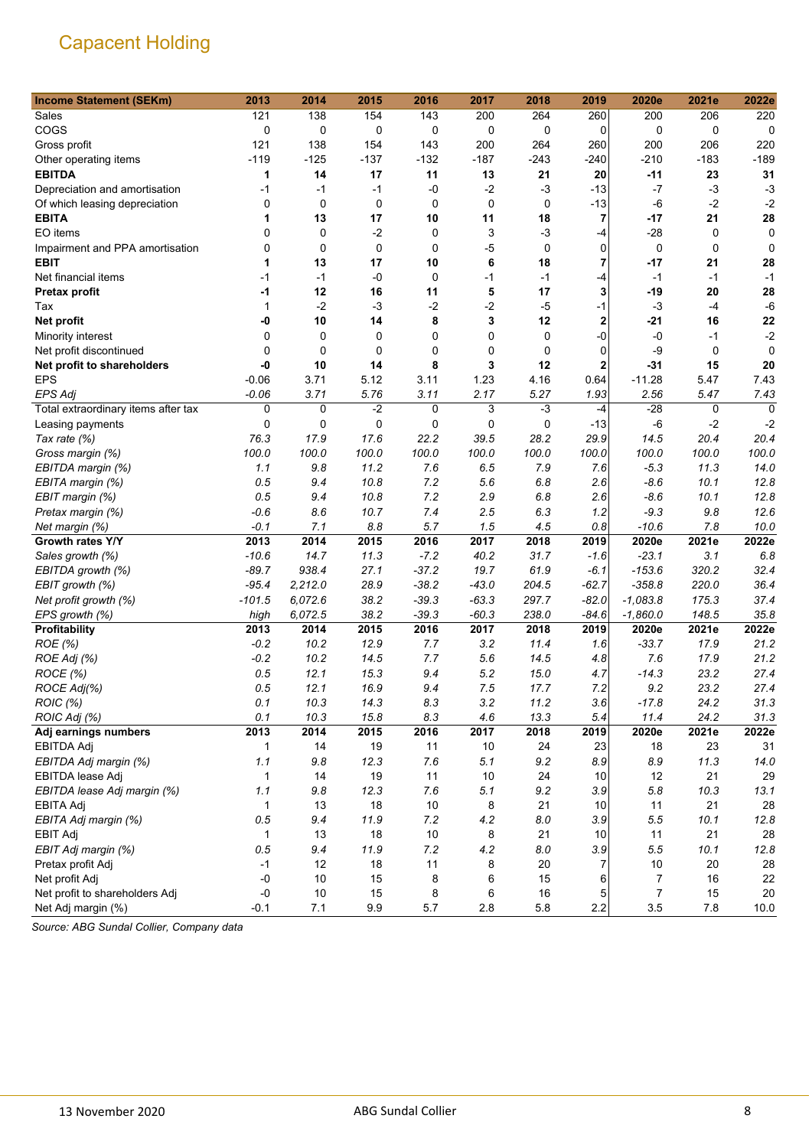| <b>Income Statement (SEKm)</b>      | 2013         | 2014    | 2015   | 2016    | 2017    | 2018        | 2019           | 2020e      | 2021e  | 2022e    |
|-------------------------------------|--------------|---------|--------|---------|---------|-------------|----------------|------------|--------|----------|
| Sales                               | 121          | 138     | 154    | 143     | 200     | 264         | 260            | 200        | 206    | 220      |
| COGS                                | 0            | 0       | 0      | 0       | 0       | 0           | 0              | 0          | 0      | 0        |
| Gross profit                        | 121          | 138     | 154    | 143     | 200     | 264         | 260            | 200        | 206    | 220      |
| Other operating items               | $-119$       | $-125$  | $-137$ | $-132$  | $-187$  | $-243$      | $-240$         | $-210$     | $-183$ | $-189$   |
| <b>EBITDA</b>                       | 1            | 14      | 17     | 11      | 13      | 21          | 20             | -11        | 23     | 31       |
| Depreciation and amortisation       | $-1$         | $-1$    | $-1$   | -0      | $-2$    | $-3$        | $-13$          | -7         | $-3$   | $-3$     |
| Of which leasing depreciation       | 0            | 0       | 0      | 0       | 0       | 0           | $-13$          | -6         | $-2$   | $-2$     |
| <b>EBITA</b>                        | 1            | 13      | 17     | 10      | 11      | 18          | $\overline{7}$ | $-17$      | 21     | 28       |
| EO items                            | 0            | 0       | $-2$   | 0       | 3       | $-3$        | -4             | $-28$      | 0      | 0        |
| Impairment and PPA amortisation     | 0            | 0       | 0      | 0       | $-5$    | $\mathbf 0$ | $\Omega$       | 0          | 0      | 0        |
| <b>EBIT</b>                         | 1            | 13      | 17     | 10      | 6       | 18          | $\overline{7}$ | -17        | 21     | 28       |
| Net financial items                 | $-1$         | $-1$    | $-0$   | 0       | $-1$    | $-1$        | -4             | $-1$       | $-1$   | $-1$     |
| <b>Pretax profit</b>                | -1           | 12      | 16     | 11      | 5       | 17          | 3              | $-19$      | 20     | 28       |
| Tax                                 | 1            | $-2$    | $-3$   | $-2$    | $-2$    | $-5$        | $-1$           | $-3$       | $-4$   | $-6$     |
| Net profit                          | -0           | 10      | 14     | 8       | 3       | 12          | $\overline{2}$ | $-21$      | 16     | 22       |
| Minority interest                   | 0            | 0       | 0      | 0       | 0       | 0           | $-0$           | -0         | -1     | $-2$     |
| Net profit discontinued             | 0            | 0       | 0      | 0       | 0       | 0           | $\mathbf 0$    | -9         | 0      | $\Omega$ |
| Net profit to shareholders          | -0           | 10      | 14     | 8       | 3       | 12          | $\overline{2}$ | -31        | 15     | 20       |
| <b>EPS</b>                          | $-0.06$      | 3.71    | 5.12   | 3.11    | 1.23    | 4.16        | 0.64           | $-11.28$   | 5.47   | 7.43     |
| <b>EPS Adj</b>                      | $-0.06$      | 3.71    | 5.76   | 3.11    | 2.17    | 5.27        | 1.93           | 2.56       | 5.47   | 7.43     |
| Total extraordinary items after tax | 0            | 0       | $-2$   | 0       | 3       | $-3$        | -4             | $-28$      | 0      | $\Omega$ |
| Leasing payments                    | 0            | 0       | 0      | 0       | 0       | 0           | $-13$          | -6         | $-2$   | $-2$     |
| Tax rate (%)                        | 76.3         | 17.9    | 17.6   | 22.2    | 39.5    | 28.2        | 29.9           | 14.5       | 20.4   | 20.4     |
| Gross margin (%)                    | 100.0        | 100.0   | 100.0  | 100.0   | 100.0   | 100.0       | 100.0          | 100.0      | 100.0  | 100.0    |
| EBITDA margin (%)                   | 1.1          | 9.8     | 11.2   | 7.6     | 6.5     | 7.9         | 7.6            | $-5.3$     | 11.3   | 14.0     |
| EBITA margin (%)                    | 0.5          | 9.4     | 10.8   | 7.2     | 5.6     | 6.8         | 2.6            | $-8.6$     | 10.1   | 12.8     |
| EBIT margin (%)                     | 0.5          | 9.4     | 10.8   | 7.2     | 2.9     | 6.8         | 2.6            | $-8.6$     | 10.1   | 12.8     |
| Pretax margin (%)                   | $-0.6$       | 8.6     | 10.7   | 7.4     | 2.5     | 6.3         | 1.2            | $-9.3$     | 9.8    | 12.6     |
| Net margin (%)                      | $-0.1$       | 7.1     | 8.8    | 5.7     | 1.5     | 4.5         | 0.8            | $-10.6$    | 7.8    | 10.0     |
| Growth rates Y/Y                    | 2013         | 2014    | 2015   | 2016    | 2017    | 2018        | 2019           | 2020e      | 2021e  | 2022e    |
| Sales growth (%)                    | $-10.6$      | 14.7    | 11.3   | $-7.2$  | 40.2    | 31.7        | -1.6           | $-23.1$    | 3.1    | 6.8      |
| EBITDA growth (%)                   | $-89.7$      | 938.4   | 27.1   | $-37.2$ | 19.7    | 61.9        | $-6.1$         | $-153.6$   | 320.2  | 32.4     |
| EBIT growth (%)                     | $-95.4$      | 2,212.0 | 28.9   | $-38.2$ | $-43.0$ | 204.5       | $-62.7$        | $-358.8$   | 220.0  | 36.4     |
| Net profit growth (%)               | $-101.5$     | 6,072.6 | 38.2   | $-39.3$ | $-63.3$ | 297.7       | $-82.0$        | $-1,083.8$ | 175.3  | 37.4     |
| EPS growth (%)                      | high         | 6,072.5 | 38.2   | $-39.3$ | $-60.3$ | 238.0       | $-84.6$        | $-1,860.0$ | 148.5  | 35.8     |
| Profitability                       | 2013         | 2014    | 2015   | 2016    | 2017    | 2018        | 2019           | 2020e      | 2021e  | 2022e    |
| ROE (%)                             | $-0.2$       | 10.2    | 12.9   | 7.7     | 3.2     | 11.4        | 1.6            | $-33.7$    | 17.9   | 21.2     |
| ROE Adj (%)                         | $-0.2$       | 10.2    | 14.5   | 7.7     | 5.6     | 14.5        | 4.8            | 7.6        | 17.9   | 21.2     |
| ROCE (%)                            | 0.5          | 12.1    | 15.3   | 9.4     | 5.2     | 15.0        | 4.7            | $-14.3$    | 23.2   | 27.4     |
| ROCE Adj(%)                         | 0.5          | 12.1    | 16.9   | 9.4     | 7.5     | 17.7        | 7.2            | 9.2        | 23.2   | 27.4     |
| ROIC (%)                            | 0.1          | 10.3    | 14.3   | 8.3     | 3.2     | 11.2        | 3.6            | $-17.8$    | 24.2   | 31.3     |
| ROIC Adj (%)                        | 0.1          | 10.3    | 15.8   | 8.3     | 4.6     | 13.3        | 5.4            | 11.4       | 24.2   | 31.3     |
| Adj earnings numbers                | 2013         | 2014    | 2015   | 2016    | 2017    | 2018        | 2019           | 2020e      | 2021e  | 2022e    |
| <b>EBITDA Adj</b>                   | 1            | 14      | 19     | 11      | 10      | 24          | 23             | 18         | 23     | 31       |
| EBITDA Adj margin (%)               | 1.1          | 9.8     | 12.3   | 7.6     | 5.1     | 9.2         | 8.9            | 8.9        | 11.3   | 14.0     |
| EBITDA lease Adj                    | $\mathbf{1}$ | 14      | 19     | 11      | $10$    | 24          | 10             | 12         | 21     | 29       |
| EBITDA lease Adj margin (%)         | 1.1          | 9.8     | 12.3   | 7.6     | 5.1     | 9.2         | 3.9            | 5.8        | 10.3   | 13.1     |
| <b>EBITA Adj</b>                    | 1            | 13      | 18     | 10      | 8       | 21          | 10             | 11         | 21     | 28       |
| EBITA Adj margin (%)                | 0.5          | 9.4     | 11.9   | 7.2     | 4.2     | 8.0         | 3.9            | 5.5        | 10.1   | 12.8     |
| <b>EBIT Adj</b>                     | 1            | 13      | 18     | 10      | 8       | 21          | 10             | 11         | 21     | 28       |
| EBIT Adj margin (%)                 | 0.5          | 9.4     | 11.9   | 7.2     | 4.2     | 8.0         | 3.9            | 5.5        | 10.1   | 12.8     |
| Pretax profit Adj                   | $-1$         | 12      | 18     | 11      | 8       | 20          | 7              | 10         | 20     | 28       |
| Net profit Adj                      | $-0$         | 10      | 15     | 8       | 6       | 15          | 6              | 7          | 16     | 22       |
| Net profit to shareholders Adj      | $-0$         | 10      | 15     | 8       | 6       | $16\,$      | 5              | 7          | 15     | $20\,$   |
| Net Adj margin (%)                  | $-0.1$       | 7.1     | 9.9    | $5.7\,$ | 2.8     | 5.8         | 2.2            | 3.5        | $7.8$  | 10.0     |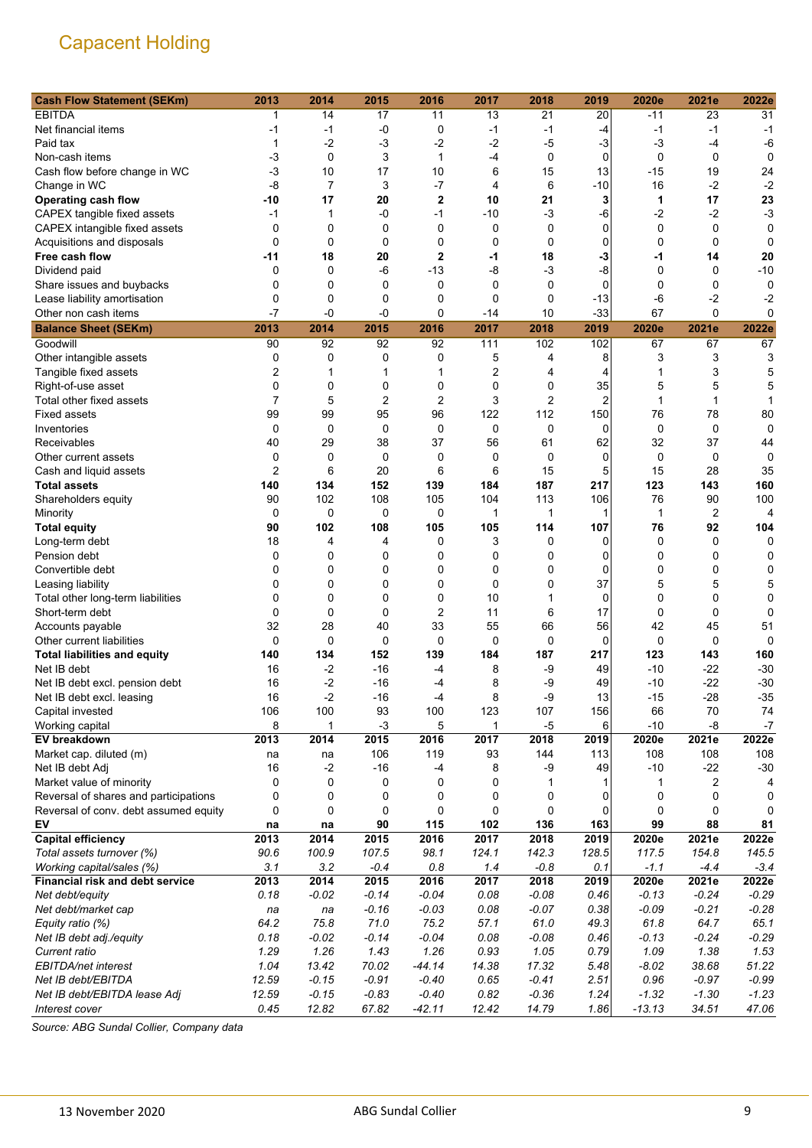| <b>Cash Flow Statement (SEKm)</b>      | 2013           | 2014           | 2015           | 2016           | 2017        | 2018    | 2019           | 2020e        | 2021e          | 2022e   |
|----------------------------------------|----------------|----------------|----------------|----------------|-------------|---------|----------------|--------------|----------------|---------|
| <b>EBITDA</b>                          |                | 14             | 17             | 11             | 13          | 21      | 20             | -11          | 23             | 31      |
| Net financial items                    | -1             | -1             | $-0$           | 0              | $-1$        | -1      | $-4$           | $-1$         | $-1$           | $-1$    |
| Paid tax                               | 1              | $-2$           | $-3$           | $-2$           | $-2$        | $-5$    | $-3$           | $-3$         | $-4$           | -6      |
| Non-cash items                         | -3             | $\mathbf 0$    | 3              | 1              | -4          | 0       | $\mathbf 0$    | 0            | 0              | 0       |
| Cash flow before change in WC          | $-3$           | 10             | 17             | 10             | 6           | 15      | 13             | $-15$        | 19             | 24      |
| Change in WC                           | -8             | $\overline{7}$ | 3              | $-7$           | 4           | 6       | $-10$          | 16           | $-2$           | $-2$    |
| <b>Operating cash flow</b>             | -10            | 17             | 20             | $\overline{2}$ | 10          | 21      | 3              | 1            | 17             | 23      |
| CAPEX tangible fixed assets            | -1             | 1              | $-0$           | $-1$           | $-10$       | $-3$    | -6             | $-2$         | $-2$           | $-3$    |
| CAPEX intangible fixed assets          | 0              | 0              | 0              | $\mathbf 0$    | 0           | 0       | $\mathbf 0$    | 0            | 0              | 0       |
| Acquisitions and disposals             | 0              | $\mathbf 0$    | $\mathbf 0$    | $\mathbf 0$    | 0           | 0       | 0              | 0            | $\mathbf 0$    | 0       |
| Free cash flow                         | -11            | 18             | 20             | 2              | -1          | 18      | -3             | $-1$         | 14             | 20      |
| Dividend paid                          | 0              | $\mathbf 0$    | -6             | $-13$          | -8          | $-3$    | -8             | 0            | 0              | $-10$   |
| Share issues and buybacks              | 0              | 0              | 0              | $\mathbf 0$    | $\mathbf 0$ | 0       | $\mathbf 0$    | 0            | 0              | 0       |
| Lease liability amortisation           | 0              | 0              | $\mathbf 0$    | $\mathbf 0$    | 0           | 0       | $-13$          | $-6$         | $-2$           | -2      |
| Other non cash items                   | $-7$           | -0             | -0             | 0              | $-14$       | 10      | $-33$          | 67           | 0              | 0       |
| <b>Balance Sheet (SEKm)</b>            | 2013           | 2014           | 2015           | 2016           | 2017        | 2018    | 2019           | 2020e        | 2021e          | 2022e   |
| Goodwill                               | 90             | 92             | 92             | 92             | 111         | 102     | 102            | 67           | 67             | 67      |
| Other intangible assets                | 0              | 0              | 0              | 0              | 5           | 4       | 8              | 3            | 3              | 3       |
| Tangible fixed assets                  | 2              | 1              | 1              | 1              | 2           | 4       | 4              | 1            | 3              | 5       |
| Right-of-use asset                     | 0              | $\mathbf 0$    | 0              | $\mathbf 0$    | 0           | 0       | 35             | 5            | 5              | 5       |
| Total other fixed assets               | $\overline{7}$ | 5              | $\overline{2}$ | $\overline{2}$ | 3           | 2       | $\overline{2}$ | 1            | 1              |         |
| <b>Fixed assets</b>                    | 99             | 99             | 95             | 96             | 122         | 112     | 150            | 76           | 78             | 80      |
| Inventories                            | 0              | $\mathbf 0$    | $\mathbf 0$    | $\mathbf 0$    | 0           | 0       | $\mathbf 0$    | $\mathbf 0$  | $\mathbf 0$    | 0       |
| Receivables                            | 40             | 29             | 38             | 37             | 56          | 61      | 62             | 32           | 37             | 44      |
| Other current assets                   | 0              | 0              | 0              | 0              | 0           | 0       | 0              | 0            | 0              | 0       |
| Cash and liquid assets                 | 2              | 6              | 20             | 6              | 6           | 15      | 5              | 15           | 28             | 35      |
| <b>Total assets</b>                    | 140            | 134            | 152            | 139            | 184         | 187     | 217            | 123          | 143            | 160     |
| Shareholders equity                    | 90             | 102            | 108            | 105            | 104         | 113     | 106            | 76           | 90             | 100     |
| Minority                               | 0              | 0              | 0              | 0              | 1           | 1       | 1              | $\mathbf{1}$ | $\overline{2}$ | 4       |
| <b>Total equity</b>                    | 90             | 102            | 108            | 105            | 105         | 114     | 107            | 76           | 92             | 104     |
| Long-term debt                         | 18             | 4              | 4              | 0              | 3           | 0       | 0              | 0            | 0              | 0       |
| Pension debt                           | 0              | 0              | 0              | 0              | 0           | 0       | 0              | 0            | 0              | 0       |
| Convertible debt                       | 0              | 0              | 0              | 0              | 0           | 0       | 0              | 0            | 0              | 0       |
| Leasing liability                      | 0              | 0              | 0              | 0              | $\mathbf 0$ | 0       | 37             | 5            | 5              | 5       |
| Total other long-term liabilities      | 0              | 0              | 0              | $\mathbf 0$    | 10          | 1       | 0              | 0            | 0              | 0       |
| Short-term debt                        | 0              | 0              | 0              | 2              | 11          | 6       | 17             | 0            | $\mathbf 0$    | 0       |
| Accounts payable                       | 32             | 28             | 40             | 33             | 55          | 66      | 56             | 42           | 45             | 51      |
| Other current liabilities              | 0              | $\Omega$       | $\mathbf 0$    | 0              | 0           | 0       | 0              | 0            | 0              | 0       |
| <b>Total liabilities and equity</b>    | 140            | 134            | 152            | 139            | 184         | 187     | 217            | 123          | 143            | 160     |
| Net IB debt                            | 16             | $-2$           | $-16$          | -4             | 8           | -9      | 49             | -10          | $-22$          | $-30$   |
| Net IB debt excl. pension debt         | 16             | $-2$           | $-16$          | -4             | 8           | -9      | 49             | -10          | $-22$          | $-30$   |
| Net IB debt excl. leasing              | 16             | -2             | $-16$          | $-4$           | 8           | -9      | 13             | $-15$        | $-28$          | $-35$   |
| Capital invested                       | 106            | 100            | 93             | 100            | 123         | 107     | 156            | 66           | 70             | 74      |
| Working capital                        | 8              | 1              | $-3$           | 5              | 1           | $-5$    | 6              | $-10$        | $-8$           | $-7$    |
| EV breakdown                           | 2013           | 2014           | 2015           | 2016           | 2017        | 2018    | 2019           | 2020e        | 2021e          | 2022e   |
| Market cap. diluted (m)                | na             | na             | 106            | 119            | 93          | 144     | 113            | 108          | 108            | 108     |
| Net IB debt Adj                        | 16             | $-2$           | $-16$          | -4             | 8           | -9      | 49             | -10          | $-22$          | $-30$   |
| Market value of minority               | 0              | 0              | 0              | 0              | 0           | 1       |                | 1            | 2              | 4       |
| Reversal of shares and participations  | 0              | 0              | 0              | 0              | 0           | 0       | 0              | 0            | 0              | 0       |
| Reversal of conv. debt assumed equity  | 0              | 0              | 0              | 0              | $\mathbf 0$ | 0       | 0              | 0            | 0              | 0       |
| EV                                     | na             | na             | 90             | 115            | 102         | 136     | 163            | 99           | 88             | 81      |
| <b>Capital efficiency</b>              | 2013           | 2014           | 2015           | 2016           | 2017        | 2018    | 2019           | 2020e        | 2021e          | 2022e   |
| Total assets turnover (%)              | 90.6           | 100.9          | 107.5          | 98.1           | 124.1       | 142.3   | 128.5          | 117.5        | 154.8          | 145.5   |
| Working capital/sales (%)              | 3.1            | 3.2            | $-0.4$         | 0.8            | 1.4         | $-0.8$  | 0.1            | $-1.1$       | $-4.4$         | $-3.4$  |
| <b>Financial risk and debt service</b> | 2013           | 2014           | 2015           | 2016           | 2017        | 2018    | 2019           | 2020e        | 2021e          | 2022e   |
| Net debt/equity                        | 0.18           | $-0.02$        | $-0.14$        | $-0.04$        | 0.08        | $-0.08$ | 0.46           | $-0.13$      | $-0.24$        | $-0.29$ |
| Net debt/market cap                    | na             | na             | $-0.16$        | $-0.03$        | 0.08        | $-0.07$ | 0.38           | $-0.09$      | $-0.21$        | $-0.28$ |
| Equity ratio (%)                       | 64.2           | 75.8           | 71.0           | 75.2           | 57.1        | 61.0    | 49.3           | 61.8         | 64.7           | 65.1    |
| Net IB debt adj./equity                | 0.18           | $-0.02$        | $-0.14$        | $-0.04$        | 0.08        | $-0.08$ | 0.46           | $-0.13$      | $-0.24$        | $-0.29$ |
| Current ratio                          | 1.29           | 1.26           | 1.43           | 1.26           | 0.93        | 1.05    | 0.79           | 1.09         | 1.38           | 1.53    |
| EBITDA/net interest                    | 1.04           | 13.42          | 70.02          | $-44.14$       | 14.38       | 17.32   | 5.48           | $-8.02$      | 38.68          | 51.22   |
| Net IB debt/EBITDA                     | 12.59          | $-0.15$        | $-0.91$        | $-0.40$        | 0.65        | $-0.41$ | 2.51           | 0.96         | $-0.97$        | $-0.99$ |
| Net IB debt/EBITDA lease Adj           | 12.59          | $-0.15$        | $-0.83$        | $-0.40$        | 0.82        | $-0.36$ | 1.24           | $-1.32$      | $-1.30$        | $-1.23$ |
| Interest cover                         | 0.45           | 12.82          | 67.82          | $-42.11$       | 12.42       | 14.79   | 1.86           | $-13.13$     | 34.51          | 47.06   |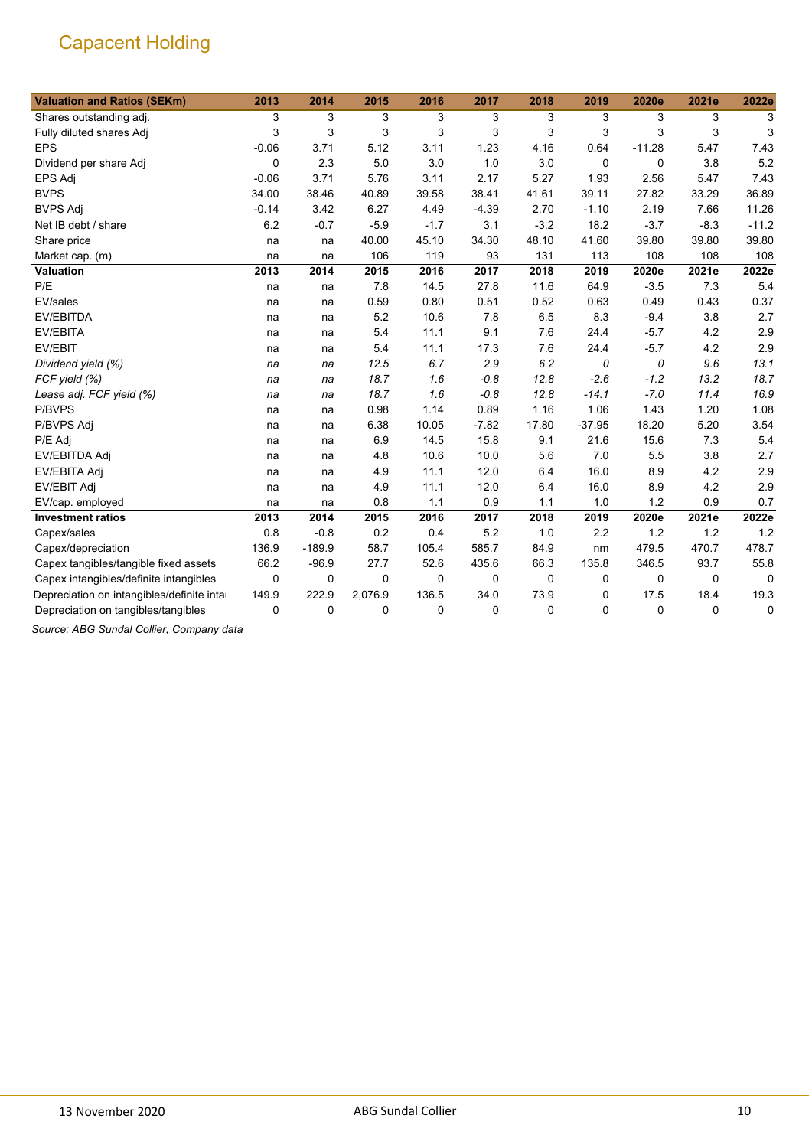| <b>Valuation and Ratios (SEKm)</b>         | 2013        | 2014        | 2015     | 2016   | 2017        | 2018        | 2019              | 2020e    | 2021e    | 2022e    |
|--------------------------------------------|-------------|-------------|----------|--------|-------------|-------------|-------------------|----------|----------|----------|
| Shares outstanding adj.                    | 3           | 3           | 3        | 3      | 3           | 3           | $\lvert 3 \rvert$ | 3        | 3        | 3        |
| Fully diluted shares Adj                   | 3           | 3           | 3        | 3      | 3           | 3           | 3                 | 3        | 3        | 3        |
| <b>EPS</b>                                 | $-0.06$     | 3.71        | 5.12     | 3.11   | 1.23        | 4.16        | 0.64              | $-11.28$ | 5.47     | 7.43     |
| Dividend per share Adj                     | 0           | 2.3         | 5.0      | 3.0    | 1.0         | 3.0         | $\mathbf 0$       | 0        | 3.8      | 5.2      |
| EPS Adj                                    | $-0.06$     | 3.71        | 5.76     | 3.11   | 2.17        | 5.27        | 1.93              | 2.56     | 5.47     | 7.43     |
| <b>BVPS</b>                                | 34.00       | 38.46       | 40.89    | 39.58  | 38.41       | 41.61       | 39.11             | 27.82    | 33.29    | 36.89    |
| <b>BVPS Adj</b>                            | $-0.14$     | 3.42        | 6.27     | 4.49   | $-4.39$     | 2.70        | $-1.10$           | 2.19     | 7.66     | 11.26    |
| Net IB debt / share                        | 6.2         | $-0.7$      | $-5.9$   | $-1.7$ | 3.1         | $-3.2$      | 18.2              | $-3.7$   | $-8.3$   | $-11.2$  |
| Share price                                | na          | na          | 40.00    | 45.10  | 34.30       | 48.10       | 41.60             | 39.80    | 39.80    | 39.80    |
| Market cap. (m)                            | na          | na          | 106      | 119    | 93          | 131         | 113               | 108      | 108      | 108      |
| <b>Valuation</b>                           | 2013        | 2014        | 2015     | 2016   | 2017        | 2018        | 2019              | 2020e    | 2021e    | 2022e    |
| P/E                                        | na          | na          | 7.8      | 14.5   | 27.8        | 11.6        | 64.9              | $-3.5$   | 7.3      | 5.4      |
| EV/sales                                   | na          | na          | 0.59     | 0.80   | 0.51        | 0.52        | 0.63              | 0.49     | 0.43     | 0.37     |
| <b>EV/EBITDA</b>                           | na          | na          | 5.2      | 10.6   | 7.8         | 6.5         | 8.3               | $-9.4$   | 3.8      | 2.7      |
| EV/EBITA                                   | na          | na          | 5.4      | 11.1   | 9.1         | 7.6         | 24.4              | $-5.7$   | 4.2      | 2.9      |
| EV/EBIT                                    | na          | na          | 5.4      | 11.1   | 17.3        | 7.6         | 24.4              | $-5.7$   | 4.2      | 2.9      |
| Dividend yield (%)                         | na          | na          | 12.5     | 6.7    | 2.9         | 6.2         | 0                 | 0        | 9.6      | 13.1     |
| FCF yield (%)                              | na          | na          | 18.7     | 1.6    | $-0.8$      | 12.8        | $-2.6$            | $-1.2$   | 13.2     | 18.7     |
| Lease adj. FCF yield (%)                   | na          | na          | 18.7     | 1.6    | $-0.8$      | 12.8        | $-14.1$           | $-7.0$   | 11.4     | 16.9     |
| P/BVPS                                     | na          | na          | 0.98     | 1.14   | 0.89        | 1.16        | 1.06              | 1.43     | 1.20     | 1.08     |
| P/BVPS Adj                                 | na          | na          | 6.38     | 10.05  | $-7.82$     | 17.80       | $-37.95$          | 18.20    | 5.20     | 3.54     |
| P/E Adj                                    | na          | na          | 6.9      | 14.5   | 15.8        | 9.1         | 21.6              | 15.6     | 7.3      | 5.4      |
| EV/EBITDA Adj                              | na          | na          | 4.8      | 10.6   | 10.0        | 5.6         | 7.0               | 5.5      | 3.8      | 2.7      |
| EV/EBITA Adj                               | na          | na          | 4.9      | 11.1   | 12.0        | 6.4         | 16.0              | 8.9      | 4.2      | 2.9      |
| <b>EV/EBIT Adj</b>                         | na          | na          | 4.9      | 11.1   | 12.0        | 6.4         | 16.0              | 8.9      | 4.2      | 2.9      |
| EV/cap. employed                           | na          | na          | 0.8      | 1.1    | 0.9         | 1.1         | 1.0               | 1.2      | 0.9      | 0.7      |
| <b>Investment ratios</b>                   | 2013        | 2014        | 2015     | 2016   | 2017        | 2018        | 2019              | 2020e    | 2021e    | 2022e    |
| Capex/sales                                | 0.8         | $-0.8$      | 0.2      | 0.4    | 5.2         | 1.0         | 2.2               | 1.2      | 1.2      | 1.2      |
| Capex/depreciation                         | 136.9       | $-189.9$    | 58.7     | 105.4  | 585.7       | 84.9        | nm                | 479.5    | 470.7    | 478.7    |
| Capex tangibles/tangible fixed assets      | 66.2        | $-96.9$     | 27.7     | 52.6   | 435.6       | 66.3        | 135.8             | 346.5    | 93.7     | 55.8     |
| Capex intangibles/definite intangibles     | $\mathbf 0$ | $\mathbf 0$ | $\Omega$ | 0      | $\mathbf 0$ | $\mathbf 0$ | 0                 | 0        | $\Omega$ | $\Omega$ |
| Depreciation on intangibles/definite intar | 149.9       | 222.9       | 2,076.9  | 136.5  | 34.0        | 73.9        | $\Omega$          | 17.5     | 18.4     | 19.3     |
| Depreciation on tangibles/tangibles        | 0           | 0           | 0        | 0      | 0           | 0           | $\mathbf 0$       | 0        | 0        | 0        |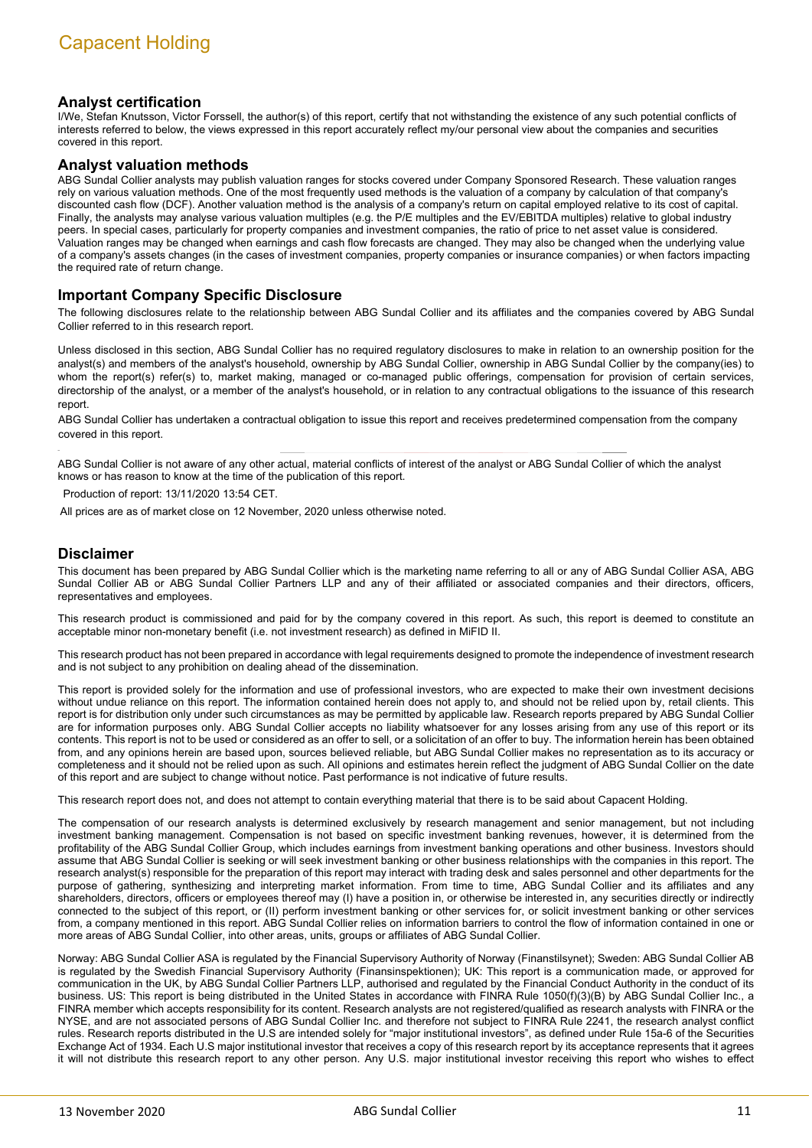#### **Analyst certification**

I/We, Stefan Knutsson, Victor Forssell, the author(s) of this report, certify that not withstanding the existence of any such potential conflicts of interests referred to below, the views expressed in this report accurately reflect my/our personal view about the companies and securities covered in this report.

#### **Analyst valuation methods**

ABG Sundal Collier analysts may publish valuation ranges for stocks covered under Company Sponsored Research. These valuation ranges rely on various valuation methods. One of the most frequently used methods is the valuation of a company by calculation of that company's discounted cash flow (DCF). Another valuation method is the analysis of a company's return on capital employed relative to its cost of capital. Finally, the analysts may analyse various valuation multiples (e.g. the P/E multiples and the EV/EBITDA multiples) relative to global industry peers. In special cases, particularly for property companies and investment companies, the ratio of price to net asset value is considered. Valuation ranges may be changed when earnings and cash flow forecasts are changed. They may also be changed when the underlying value of a company's assets changes (in the cases of investment companies, property companies or insurance companies) or when factors impacting the required rate of return change.

#### **Important Company Specific Disclosure**

The following disclosures relate to the relationship between ABG Sundal Collier and its affiliates and the companies covered by ABG Sundal Collier referred to in this research report.

Unless disclosed in this section, ABG Sundal Collier has no required regulatory disclosures to make in relation to an ownership position for the analyst(s) and members of the analyst's household, ownership by ABG Sundal Collier, ownership in ABG Sundal Collier by the company(ies) to whom the report(s) refer(s) to, market making, managed or co-managed public offerings, compensation for provision of certain services, directorship of the analyst, or a member of the analyst's household, or in relation to any contractual obligations to the issuance of this research report.

ABG Sundal Collier has undertaken a contractual obligation to issue this report and receives predetermined compensation from the company covered in this report.

ABG Sundal Collier is not aware of any other actual, material conflicts of interest of the analyst or ABG Sundal Collier of which the analyst knows or has reason to know at the time of the publication of this report.

Production of report: 13/11/2020 13:54 CET.

All prices are as of market close on 12 November, 2020 unless otherwise noted.

#### **Disclaimer**

This document has been prepared by ABG Sundal Collier which is the marketing name referring to all or any of ABG Sundal Collier ASA, ABG Sundal Collier AB or ABG Sundal Collier Partners LLP and any of their affiliated or associated companies and their directors, officers, representatives and employees.

This research product is commissioned and paid for by the company covered in this report. As such, this report is deemed to constitute an acceptable minor non-monetary benefit (i.e. not investment research) as defined in MiFID II.

This research product has not been prepared in accordance with legal requirements designed to promote the independence of investment research and is not subject to any prohibition on dealing ahead of the dissemination.

This report is provided solely for the information and use of professional investors, who are expected to make their own investment decisions without undue reliance on this report. The information contained herein does not apply to, and should not be relied upon by, retail clients. This report is for distribution only under such circumstances as may be permitted by applicable law. Research reports prepared by ABG Sundal Collier are for information purposes only. ABG Sundal Collier accepts no liability whatsoever for any losses arising from any use of this report or its contents. This report is not to be used or considered as an offer to sell, or a solicitation of an offer to buy. The information herein has been obtained from, and any opinions herein are based upon, sources believed reliable, but ABG Sundal Collier makes no representation as to its accuracy or completeness and it should not be relied upon as such. All opinions and estimates herein reflect the judgment of ABG Sundal Collier on the date of this report and are subject to change without notice. Past performance is not indicative of future results.

This research report does not, and does not attempt to contain everything material that there is to be said about Capacent Holding.

The compensation of our research analysts is determined exclusively by research management and senior management, but not including investment banking management. Compensation is not based on specific investment banking revenues, however, it is determined from the profitability of the ABG Sundal Collier Group, which includes earnings from investment banking operations and other business. Investors should assume that ABG Sundal Collier is seeking or will seek investment banking or other business relationships with the companies in this report. The research analyst(s) responsible for the preparation of this report may interact with trading desk and sales personnel and other departments for the purpose of gathering, synthesizing and interpreting market information. From time to time, ABG Sundal Collier and its affiliates and any shareholders, directors, officers or employees thereof may (I) have a position in, or otherwise be interested in, any securities directly or indirectly connected to the subject of this report, or (II) perform investment banking or other services for, or solicit investment banking or other services from, a company mentioned in this report. ABG Sundal Collier relies on information barriers to control the flow of information contained in one or more areas of ABG Sundal Collier, into other areas, units, groups or affiliates of ABG Sundal Collier.

Norway: ABG Sundal Collier ASA is regulated by the Financial Supervisory Authority of Norway (Finanstilsynet); Sweden: ABG Sundal Collier AB is regulated by the Swedish Financial Supervisory Authority (Finansinspektionen); UK: This report is a communication made, or approved for communication in the UK, by ABG Sundal Collier Partners LLP, authorised and regulated by the Financial Conduct Authority in the conduct of its business. US: This report is being distributed in the United States in accordance with FINRA Rule 1050(f)(3)(B) by ABG Sundal Collier Inc., a FINRA member which accepts responsibility for its content. Research analysts are not registered/qualified as research analysts with FINRA or the NYSE, and are not associated persons of ABG Sundal Collier Inc. and therefore not subject to FINRA Rule 2241, the research analyst conflict rules. Research reports distributed in the U.S are intended solely for "major institutional investors", as defined under Rule 15a-6 of the Securities Exchange Act of 1934. Each U.S major institutional investor that receives a copy of this research report by its acceptance represents that it agrees it will not distribute this research report to any other person. Any U.S. major institutional investor receiving this report who wishes to effect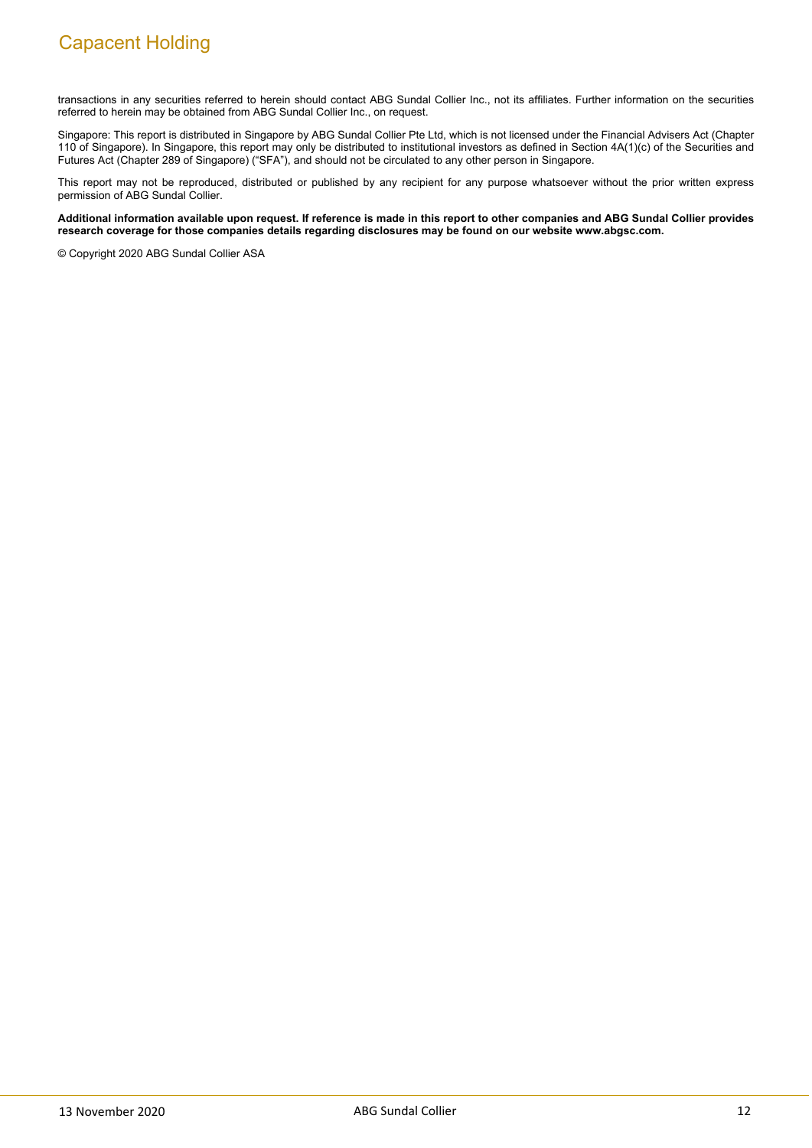transactions in any securities referred to herein should contact ABG Sundal Collier Inc., not its affiliates. Further information on the securities referred to herein may be obtained from ABG Sundal Collier Inc., on request.

Singapore: This report is distributed in Singapore by ABG Sundal Collier Pte Ltd, which is not licensed under the Financial Advisers Act (Chapter 110 of Singapore). In Singapore, this report may only be distributed to institutional investors as defined in Section 4A(1)(c) of the Securities and Futures Act (Chapter 289 of Singapore) ("SFA"), and should not be circulated to any other person in Singapore.

This report may not be reproduced, distributed or published by any recipient for any purpose whatsoever without the prior written express permission of ABG Sundal Collier.

#### **Additional information available upon request. If reference is made in this report to other companies and ABG Sundal Collier provides research coverage for those companies details regarding disclosures may be found on our website www.abgsc.com.**

© Copyright 2020 ABG Sundal Collier ASA